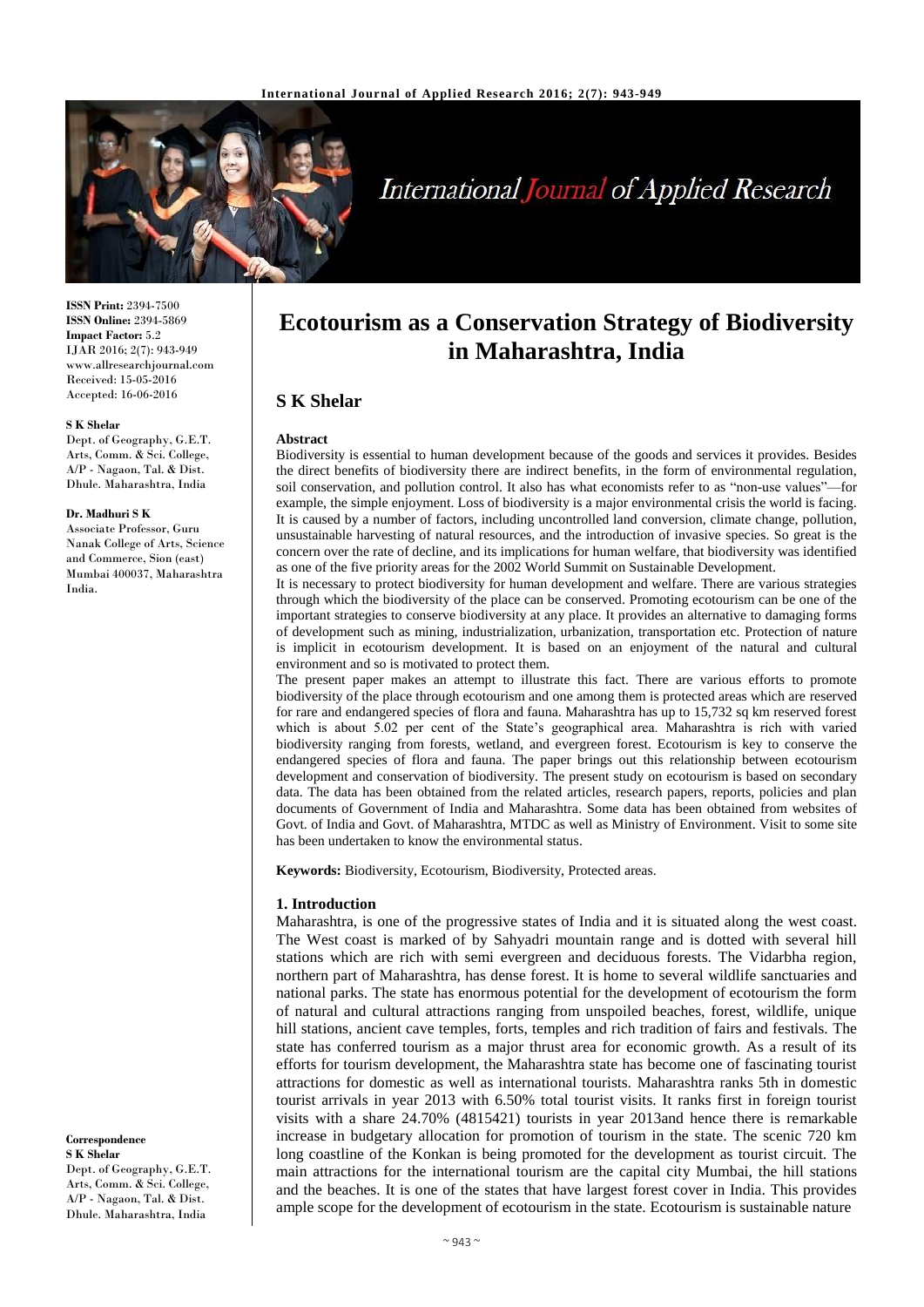

# **International Journal of Applied Research**

**ISSN Print:** 2394-7500 **ISSN Online:** 2394-5869 **Impact Factor:** 5.2 IJAR 2016; 2(7): 943-949 www.allresearchjournal.com Received: 15-05-2016 Accepted: 16-06-2016

#### **S K Shelar**

Dept. of Geography, G.E.T. Arts, Comm. & Sci. College, A/P - Nagaon, Tal. & Dist. Dhule. Maharashtra, India

#### **Dr. Madhuri S K**

Associate Professor, Guru Nanak College of Arts, Science and Commerce, Sion (east) Mumbai 400037, Maharashtra India.

**Correspondence S K Shelar**

Dept. of Geography, G.E.T. Arts, Comm. & Sci. College, A/P - Nagaon, Tal. & Dist. Dhule. Maharashtra, India

## **Ecotourism as a Conservation Strategy of Biodiversity in Maharashtra, India**

## **S K Shelar**

#### **Abstract**

Biodiversity is essential to human development because of the goods and services it provides. Besides the direct benefits of biodiversity there are indirect benefits, in the form of environmental regulation, soil conservation, and pollution control. It also has what economists refer to as "non-use values"—for example, the simple enjoyment. Loss of biodiversity is a major environmental crisis the world is facing. It is caused by a number of factors, including uncontrolled land conversion, climate change, pollution, unsustainable harvesting of natural resources, and the introduction of invasive species. So great is the concern over the rate of decline, and its implications for human welfare, that biodiversity was identified as one of the five priority areas for the 2002 World Summit on Sustainable Development.

It is necessary to protect biodiversity for human development and welfare. There are various strategies through which the biodiversity of the place can be conserved. Promoting ecotourism can be one of the important strategies to conserve biodiversity at any place. It provides an alternative to damaging forms of development such as mining, industrialization, urbanization, transportation etc. Protection of nature is implicit in ecotourism development. It is based on an enjoyment of the natural and cultural environment and so is motivated to protect them.

The present paper makes an attempt to illustrate this fact. There are various efforts to promote biodiversity of the place through ecotourism and one among them is protected areas which are reserved for rare and endangered species of flora and fauna. Maharashtra has up to 15,732 sq km reserved forest which is about 5.02 per cent of the State's geographical area. Maharashtra is rich with varied biodiversity ranging from forests, wetland, and evergreen forest. Ecotourism is key to conserve the endangered species of flora and fauna. The paper brings out this relationship between ecotourism development and conservation of biodiversity. The present study on ecotourism is based on secondary data. The data has been obtained from the related articles, research papers, reports, policies and plan documents of Government of India and Maharashtra. Some data has been obtained from websites of Govt. of India and Govt. of Maharashtra, MTDC as well as Ministry of Environment. Visit to some site has been undertaken to know the environmental status.

**Keywords:** Biodiversity, Ecotourism, Biodiversity, Protected areas.

#### **1. Introduction**

Maharashtra, is one of the progressive states of India and it is situated along the west coast. The West coast is marked of by Sahyadri mountain range and is dotted with several hill stations which are rich with semi evergreen and deciduous forests. The Vidarbha region, northern part of Maharashtra, has dense forest. It is home to several wildlife sanctuaries and national parks. The state has enormous potential for the development of ecotourism the form of natural and cultural attractions ranging from unspoiled beaches, forest, wildlife, unique hill stations, ancient cave temples, forts, temples and rich tradition of fairs and festivals. The state has conferred tourism as a major thrust area for economic growth. As a result of its efforts for tourism development, the Maharashtra state has become one of fascinating tourist attractions for domestic as well as international tourists. Maharashtra ranks 5th in domestic tourist arrivals in year 2013 with 6.50% total tourist visits. It ranks first in foreign tourist visits with a share 24.70% (4815421) tourists in year 2013and hence there is remarkable increase in budgetary allocation for promotion of tourism in the state. The scenic 720 km long coastline of the Konkan is being promoted for the development as tourist circuit. The main attractions for the international tourism are the capital city Mumbai, the hill stations and the beaches. It is one of the states that have largest forest cover in India. This provides ample scope for the development of ecotourism in the state. Ecotourism is sustainable nature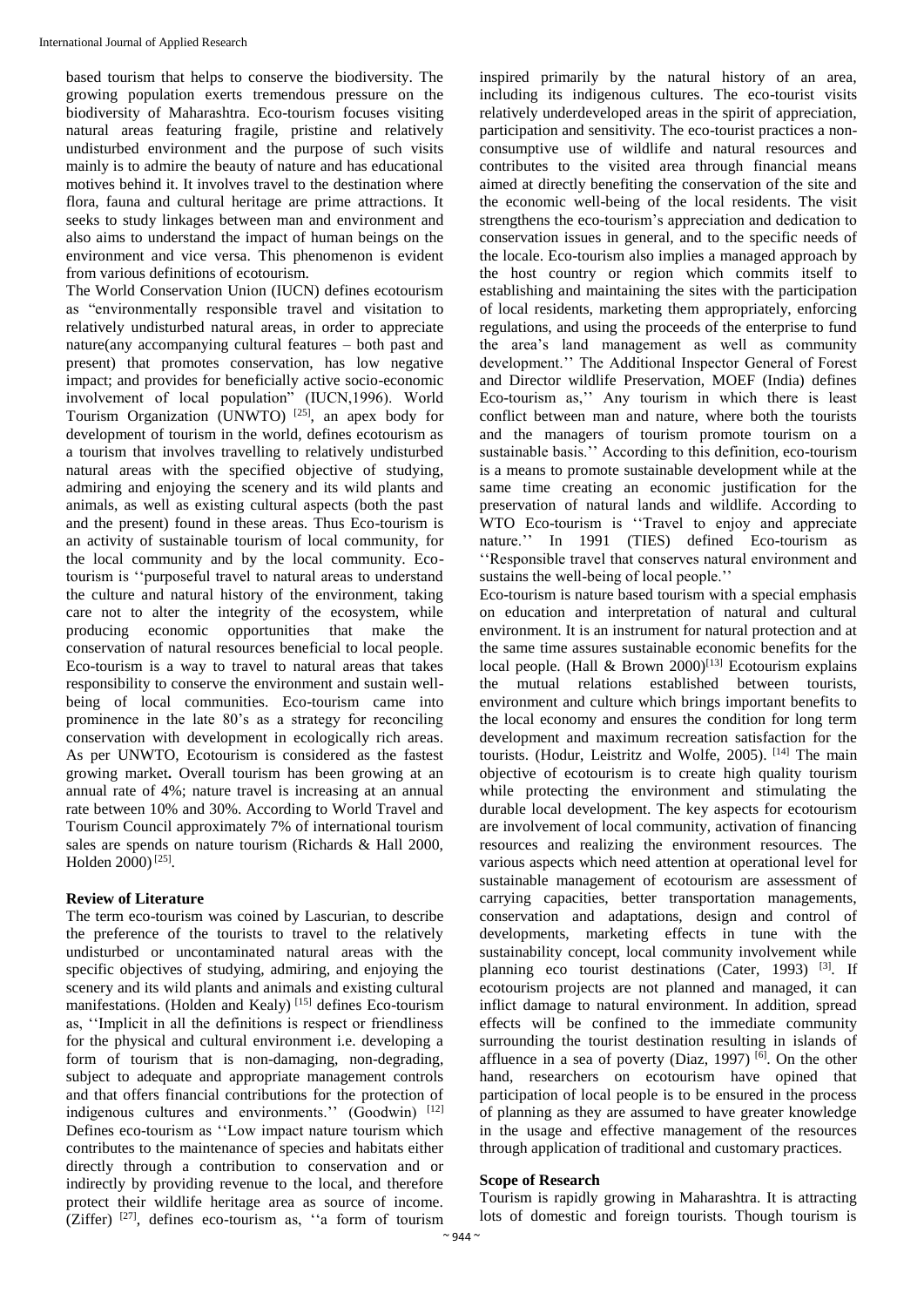based tourism that helps to conserve the biodiversity. The growing population exerts tremendous pressure on the biodiversity of Maharashtra. Eco-tourism focuses visiting natural areas featuring fragile, pristine and relatively undisturbed environment and the purpose of such visits mainly is to admire the beauty of nature and has educational motives behind it. It involves travel to the destination where flora, fauna and cultural heritage are prime attractions. It seeks to study linkages between man and environment and also aims to understand the impact of human beings on the environment and vice versa. This phenomenon is evident from various definitions of ecotourism.

The World Conservation Union (IUCN) defines ecotourism as "environmentally responsible travel and visitation to relatively undisturbed natural areas, in order to appreciate nature(any accompanying cultural features – both past and present) that promotes conservation, has low negative impact; and provides for beneficially active socio-economic involvement of local population" (IUCN,1996). World Tourism Organization (UNWTO)<sup>[25]</sup>, an apex body for development of tourism in the world, defines ecotourism as a tourism that involves travelling to relatively undisturbed natural areas with the specified objective of studying, admiring and enjoying the scenery and its wild plants and animals, as well as existing cultural aspects (both the past and the present) found in these areas. Thus Eco-tourism is an activity of sustainable tourism of local community, for the local community and by the local community. Ecotourism is ''purposeful travel to natural areas to understand the culture and natural history of the environment, taking care not to alter the integrity of the ecosystem, while producing economic opportunities that make the conservation of natural resources beneficial to local people. Eco-tourism is a way to travel to natural areas that takes responsibility to conserve the environment and sustain wellbeing of local communities. Eco-tourism came into prominence in the late 80's as a strategy for reconciling conservation with development in ecologically rich areas. As per UNWTO, Ecotourism is considered as the fastest growing market**.** Overall tourism has been growing at an annual rate of 4%; nature travel is increasing at an annual rate between 10% and 30%. According to World Travel and Tourism Council approximately 7% of international tourism sales are spends on nature tourism (Richards & Hall 2000, Holden 2000)<sup>[25]</sup>.

## **Review of Literature**

The term eco-tourism was coined by Lascurian, to describe the preference of the tourists to travel to the relatively undisturbed or uncontaminated natural areas with the specific objectives of studying, admiring, and enjoying the scenery and its wild plants and animals and existing cultural manifestations. (Holden and Kealy)<sup>[15]</sup> defines Eco-tourism as, ''Implicit in all the definitions is respect or friendliness for the physical and cultural environment i.e. developing a form of tourism that is non-damaging, non-degrading, subject to adequate and appropriate management controls and that offers financial contributions for the protection of indigenous cultures and environments." (Goodwin) [12] Defines eco-tourism as ''Low impact nature tourism which contributes to the maintenance of species and habitats either directly through a contribution to conservation and or indirectly by providing revenue to the local, and therefore protect their wildlife heritage area as source of income. (Ziffer)  $[27]$ , defines eco-tourism as, "a form of tourism inspired primarily by the natural history of an area, including its indigenous cultures. The eco-tourist visits relatively underdeveloped areas in the spirit of appreciation, participation and sensitivity. The eco-tourist practices a nonconsumptive use of wildlife and natural resources and contributes to the visited area through financial means aimed at directly benefiting the conservation of the site and the economic well-being of the local residents. The visit strengthens the eco-tourism's appreciation and dedication to conservation issues in general, and to the specific needs of the locale. Eco-tourism also implies a managed approach by the host country or region which commits itself to establishing and maintaining the sites with the participation of local residents, marketing them appropriately, enforcing regulations, and using the proceeds of the enterprise to fund the area's land management as well as community development.'' The Additional Inspector General of Forest and Director wildlife Preservation, MOEF (India) defines Eco-tourism as,'' Any tourism in which there is least conflict between man and nature, where both the tourists and the managers of tourism promote tourism on a sustainable basis.'' According to this definition, eco-tourism is a means to promote sustainable development while at the same time creating an economic justification for the preservation of natural lands and wildlife. According to WTO Eco-tourism is ''Travel to enjoy and appreciate nature.'' In 1991 (TIES) defined Eco-tourism as ''Responsible travel that conserves natural environment and sustains the well-being of local people.''

Eco-tourism is nature based tourism with a special emphasis on education and interpretation of natural and cultural environment. It is an instrument for natural protection and at the same time assures sustainable economic benefits for the local people. (Hall  $& Brown\ 2000$ <sup>[13]</sup> Ecotourism explains the mutual relations established between tourists, environment and culture which brings important benefits to the local economy and ensures the condition for long term development and maximum recreation satisfaction for the tourists. (Hodur, Leistritz and Wolfe, 2005). [14] The main objective of ecotourism is to create high quality tourism while protecting the environment and stimulating the durable local development. The key aspects for ecotourism are involvement of local community, activation of financing resources and realizing the environment resources. The various aspects which need attention at operational level for sustainable management of ecotourism are assessment of carrying capacities, better transportation managements, conservation and adaptations, design and control of developments, marketing effects in tune with the sustainability concept, local community involvement while planning eco tourist destinations (Cater, 1993)<sup>[3]</sup>. If ecotourism projects are not planned and managed, it can inflict damage to natural environment. In addition, spread effects will be confined to the immediate community surrounding the tourist destination resulting in islands of affluence in a sea of poverty (Diaz, 1997)  $[6]$ . On the other hand, researchers on ecotourism have opined that participation of local people is to be ensured in the process of planning as they are assumed to have greater knowledge in the usage and effective management of the resources through application of traditional and customary practices.

## **Scope of Research**

Tourism is rapidly growing in Maharashtra. It is attracting lots of domestic and foreign tourists. Though tourism is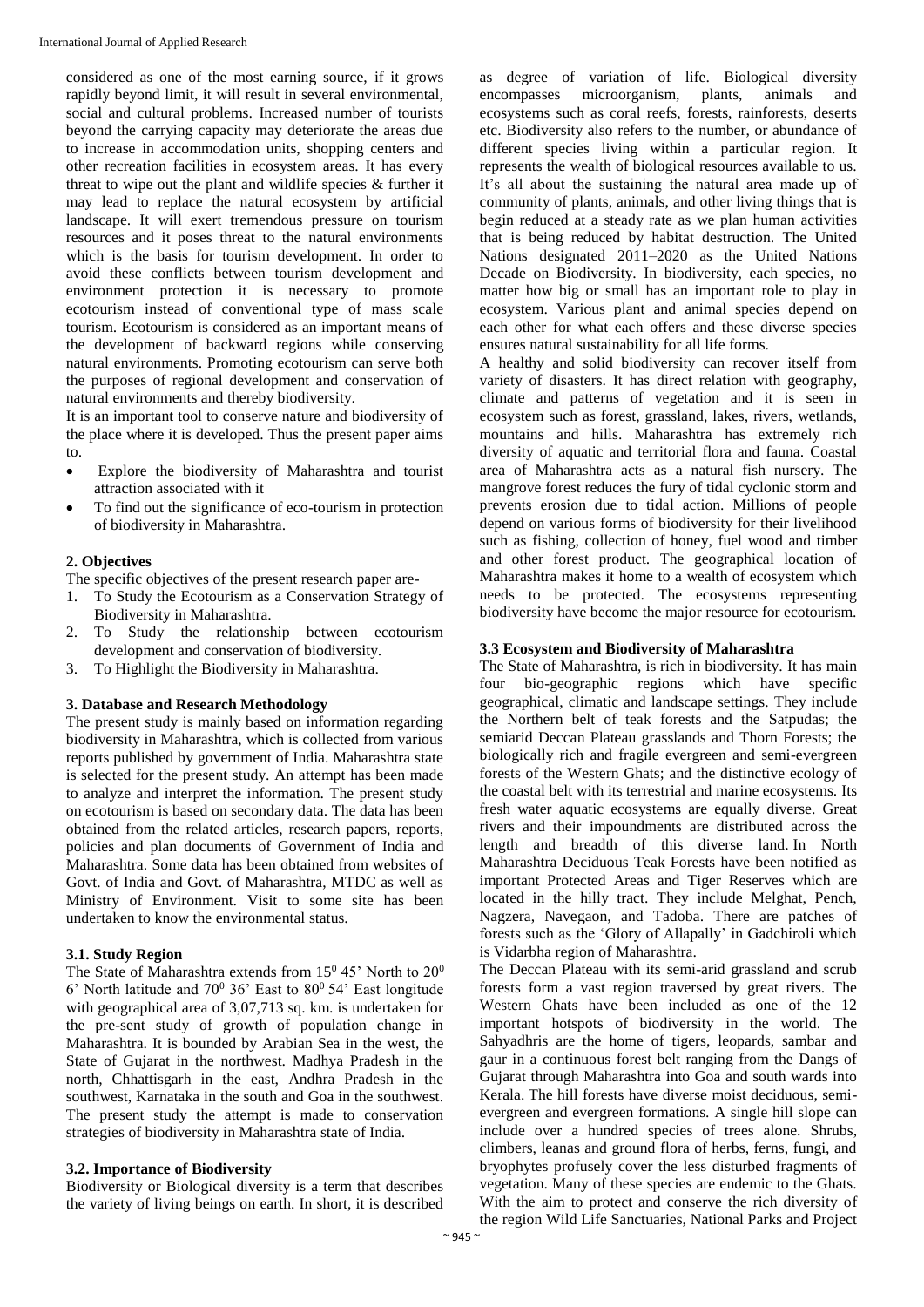considered as one of the most earning source, if it grows rapidly beyond limit, it will result in several environmental, social and cultural problems. Increased number of tourists beyond the carrying capacity may deteriorate the areas due to increase in accommodation units, shopping centers and other recreation facilities in ecosystem areas. It has every threat to wipe out the plant and wildlife species & further it may lead to replace the natural ecosystem by artificial landscape. It will exert tremendous pressure on tourism resources and it poses threat to the natural environments which is the basis for tourism development. In order to avoid these conflicts between tourism development and environment protection it is necessary to promote ecotourism instead of conventional type of mass scale tourism. Ecotourism is considered as an important means of the development of backward regions while conserving natural environments. Promoting ecotourism can serve both the purposes of regional development and conservation of natural environments and thereby biodiversity.

It is an important tool to conserve nature and biodiversity of the place where it is developed. Thus the present paper aims to.

- Explore the biodiversity of Maharashtra and tourist attraction associated with it
- To find out the significance of eco-tourism in protection of biodiversity in Maharashtra.

#### **2. Objectives**

The specific objectives of the present research paper are-

- 1. To Study the Ecotourism as a Conservation Strategy of Biodiversity in Maharashtra.
- 2. To Study the relationship between ecotourism development and conservation of biodiversity.
- 3. To Highlight the Biodiversity in Maharashtra.

#### **3. Database and Research Methodology**

The present study is mainly based on information regarding biodiversity in Maharashtra, which is collected from various reports published by government of India. Maharashtra state is selected for the present study. An attempt has been made to analyze and interpret the information. The present study on ecotourism is based on secondary data. The data has been obtained from the related articles, research papers, reports, policies and plan documents of Government of India and Maharashtra. Some data has been obtained from websites of Govt. of India and Govt. of Maharashtra, MTDC as well as Ministry of Environment. Visit to some site has been undertaken to know the environmental status.

#### **3.1. Study Region**

The State of Maharashtra extends from  $15^{\circ}$  45' North to  $20^{\circ}$ 6' North latitude and  $70^0$  36' East to  $80^0$  54' East longitude with geographical area of 3,07,713 sq. km. is undertaken for the pre-sent study of growth of population change in Maharashtra. It is bounded by Arabian Sea in the west, the State of Gujarat in the northwest. Madhya Pradesh in the north, Chhattisgarh in the east, Andhra Pradesh in the southwest, Karnataka in the south and Goa in the southwest. The present study the attempt is made to conservation strategies of biodiversity in Maharashtra state of India.

### **3.2. Importance of Biodiversity**

Biodiversity or Biological diversity is a term that describes the variety of living beings on earth. In short, it is described

as degree of variation of life. Biological diversity encompasses microorganism, plants, animals and ecosystems such as coral reefs, forests, rainforests, deserts etc. Biodiversity also refers to the number, or abundance of different species living within a particular region. It represents the wealth of biological resources available to us. It's all about the sustaining the natural area made up of community of plants, animals, and other living things that is begin reduced at a steady rate as we plan human activities that is being reduced by habitat destruction. The United Nations designated 2011–2020 as the United Nations Decade on Biodiversity. In biodiversity, each species, no matter how big or small has an important role to play in ecosystem. Various plant and animal species depend on each other for what each offers and these diverse species ensures natural sustainability for all life forms.

A healthy and solid biodiversity can recover itself from variety of disasters. It has direct relation with geography, climate and patterns of vegetation and it is seen in ecosystem such as forest, grassland, lakes, rivers, wetlands, mountains and hills. Maharashtra has extremely rich diversity of aquatic and territorial flora and fauna. Coastal area of Maharashtra acts as a natural fish nursery. The mangrove forest reduces the fury of tidal cyclonic storm and prevents erosion due to tidal action. Millions of people depend on various forms of biodiversity for their livelihood such as fishing, collection of honey, fuel wood and timber and other forest product. The geographical location of Maharashtra makes it home to a wealth of ecosystem which needs to be protected. The ecosystems representing biodiversity have become the major resource for ecotourism.

#### **3.3 Ecosystem and Biodiversity of Maharashtra**

The State of Maharashtra, is rich in biodiversity. It has main four bio-geographic regions which have specific geographical, climatic and landscape settings. They include the Northern belt of teak forests and the Satpudas; the semiarid Deccan Plateau grasslands and Thorn Forests; the biologically rich and fragile evergreen and semi-evergreen forests of the Western Ghats; and the distinctive ecology of the coastal belt with its terrestrial and marine ecosystems. Its fresh water aquatic ecosystems are equally diverse. Great rivers and their impoundments are distributed across the length and breadth of this diverse land. In North Maharashtra Deciduous Teak Forests have been notified as important Protected Areas and Tiger Reserves which are located in the hilly tract. They include Melghat, Pench, Nagzera, Navegaon, and Tadoba. There are patches of forests such as the 'Glory of Allapally' in Gadchiroli which is Vidarbha region of Maharashtra.

The Deccan Plateau with its semi-arid grassland and scrub forests form a vast region traversed by great rivers. The Western Ghats have been included as one of the 12 important hotspots of biodiversity in the world. The Sahyadhris are the home of tigers, leopards, sambar and gaur in a continuous forest belt ranging from the Dangs of Gujarat through Maharashtra into Goa and south wards into Kerala. The hill forests have diverse moist deciduous, semievergreen and evergreen formations. A single hill slope can include over a hundred species of trees alone. Shrubs, climbers, leanas and ground flora of herbs, ferns, fungi, and bryophytes profusely cover the less disturbed fragments of vegetation. Many of these species are endemic to the Ghats. With the aim to protect and conserve the rich diversity of the region Wild Life Sanctuaries, National Parks and Project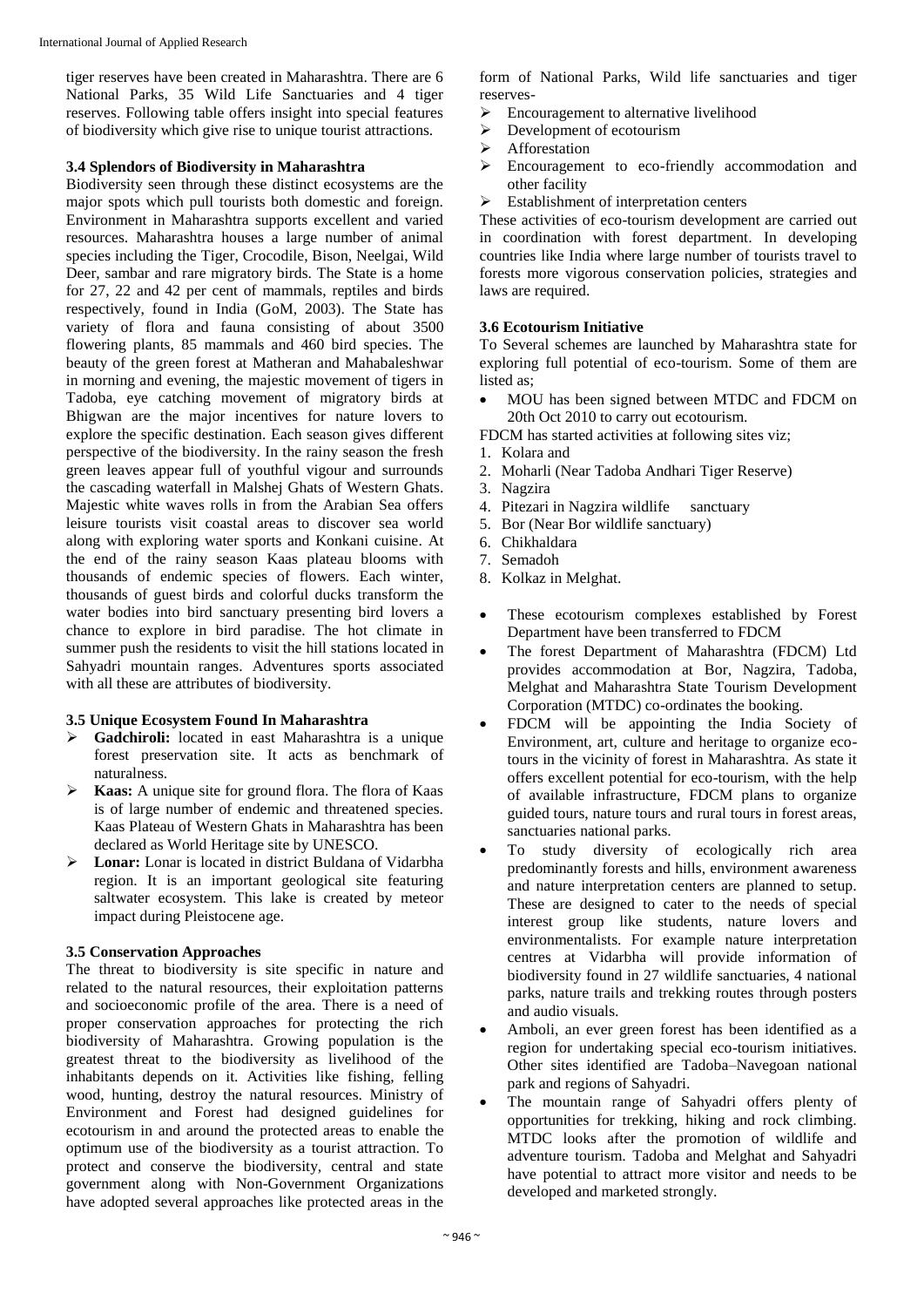tiger reserves have been created in Maharashtra. There are 6 National Parks, 35 Wild Life Sanctuaries and 4 tiger reserves. Following table offers insight into special features of biodiversity which give rise to unique tourist attractions.

## **3.4 Splendors of Biodiversity in Maharashtra**

Biodiversity seen through these distinct ecosystems are the major spots which pull tourists both domestic and foreign. Environment in Maharashtra supports excellent and varied resources. Maharashtra houses a large number of animal species including the Tiger, Crocodile, Bison, Neelgai, Wild Deer, sambar and rare migratory birds. The State is a home for 27, 22 and 42 per cent of mammals, reptiles and birds respectively, found in India (GoM, 2003). The State has variety of flora and fauna consisting of about 3500 flowering plants, 85 mammals and 460 bird species. The beauty of the green forest at Matheran and Mahabaleshwar in morning and evening, the majestic movement of tigers in Tadoba, eye catching movement of migratory birds at Bhigwan are the major incentives for nature lovers to explore the specific destination. Each season gives different perspective of the biodiversity. In the rainy season the fresh green leaves appear full of youthful vigour and surrounds the cascading waterfall in Malshej Ghats of Western Ghats. Majestic white waves rolls in from the Arabian Sea offers leisure tourists visit coastal areas to discover sea world along with exploring water sports and Konkani cuisine. At the end of the rainy season Kaas plateau blooms with thousands of endemic species of flowers. Each winter, thousands of guest birds and colorful ducks transform the water bodies into bird sanctuary presenting bird lovers a chance to explore in bird paradise. The hot climate in summer push the residents to visit the hill stations located in Sahyadri mountain ranges. Adventures sports associated with all these are attributes of biodiversity.

## **3.5 Unique Ecosystem Found In Maharashtra**

- **Gadchiroli:** located in east Maharashtra is a unique forest preservation site. It acts as benchmark of naturalness.
- **Kaas:** A unique site for ground flora. The flora of Kaas is of large number of endemic and threatened species. Kaas Plateau of Western Ghats in Maharashtra has been declared as World Heritage site by UNESCO.
- **Lonar:** Lonar is located in district Buldana of Vidarbha region. It is an important geological site featuring saltwater ecosystem. This lake is created by meteor impact during Pleistocene age.

## **3.5 Conservation Approaches**

The threat to biodiversity is site specific in nature and related to the natural resources, their exploitation patterns and socioeconomic profile of the area. There is a need of proper conservation approaches for protecting the rich biodiversity of Maharashtra. Growing population is the greatest threat to the biodiversity as livelihood of the inhabitants depends on it. Activities like fishing, felling wood, hunting, destroy the natural resources. Ministry of Environment and Forest had designed guidelines for ecotourism in and around the protected areas to enable the optimum use of the biodiversity as a tourist attraction. To protect and conserve the biodiversity, central and state government along with Non-Government Organizations have adopted several approaches like protected areas in the

form of National Parks, Wild life sanctuaries and tiger reserves-

- $\triangleright$  Encouragement to alternative livelihood
- $\triangleright$  Development of ecotourism
- > Afforestation
- Encouragement to eco-friendly accommodation and other facility
- $\triangleright$  Establishment of interpretation centers

These activities of eco-tourism development are carried out in coordination with forest department. In developing countries like India where large number of tourists travel to forests more vigorous conservation policies, strategies and laws are required.

## **3.6 Ecotourism Initiative**

To Several schemes are launched by Maharashtra state for exploring full potential of eco-tourism. Some of them are listed as;

- MOU has been signed between MTDC and FDCM on 20th Oct 2010 to carry out ecotourism.
- FDCM has started activities at following sites viz;
- 1. Kolara and
- 2. Moharli (Near Tadoba Andhari Tiger Reserve)
- 3. Nagzira
- 4. Pitezari in Nagzira wildlife sanctuary
- 5. Bor (Near Bor wildlife sanctuary)
- 6. Chikhaldara
- 7. Semadoh
- 8. Kolkaz in Melghat.
- These ecotourism complexes established by Forest Department have been transferred to FDCM
- The forest Department of Maharashtra (FDCM) Ltd provides accommodation at Bor, Nagzira, Tadoba, Melghat and Maharashtra State Tourism Development Corporation (MTDC) co-ordinates the booking.
- FDCM will be appointing the India Society of Environment, art, culture and heritage to organize ecotours in the vicinity of forest in Maharashtra. As state it offers excellent potential for eco-tourism, with the help of available infrastructure, FDCM plans to organize guided tours, nature tours and rural tours in forest areas, sanctuaries national parks.
- To study diversity of ecologically rich area predominantly forests and hills, environment awareness and nature interpretation centers are planned to setup. These are designed to cater to the needs of special interest group like students, nature lovers and environmentalists. For example nature interpretation centres at Vidarbha will provide information of biodiversity found in 27 wildlife sanctuaries, 4 national parks, nature trails and trekking routes through posters and audio visuals.
- Amboli, an ever green forest has been identified as a region for undertaking special eco-tourism initiatives. Other sites identified are Tadoba–Navegoan national park and regions of Sahyadri.
- The mountain range of Sahyadri offers plenty of opportunities for trekking, hiking and rock climbing. MTDC looks after the promotion of wildlife and adventure tourism. Tadoba and Melghat and Sahyadri have potential to attract more visitor and needs to be developed and marketed strongly.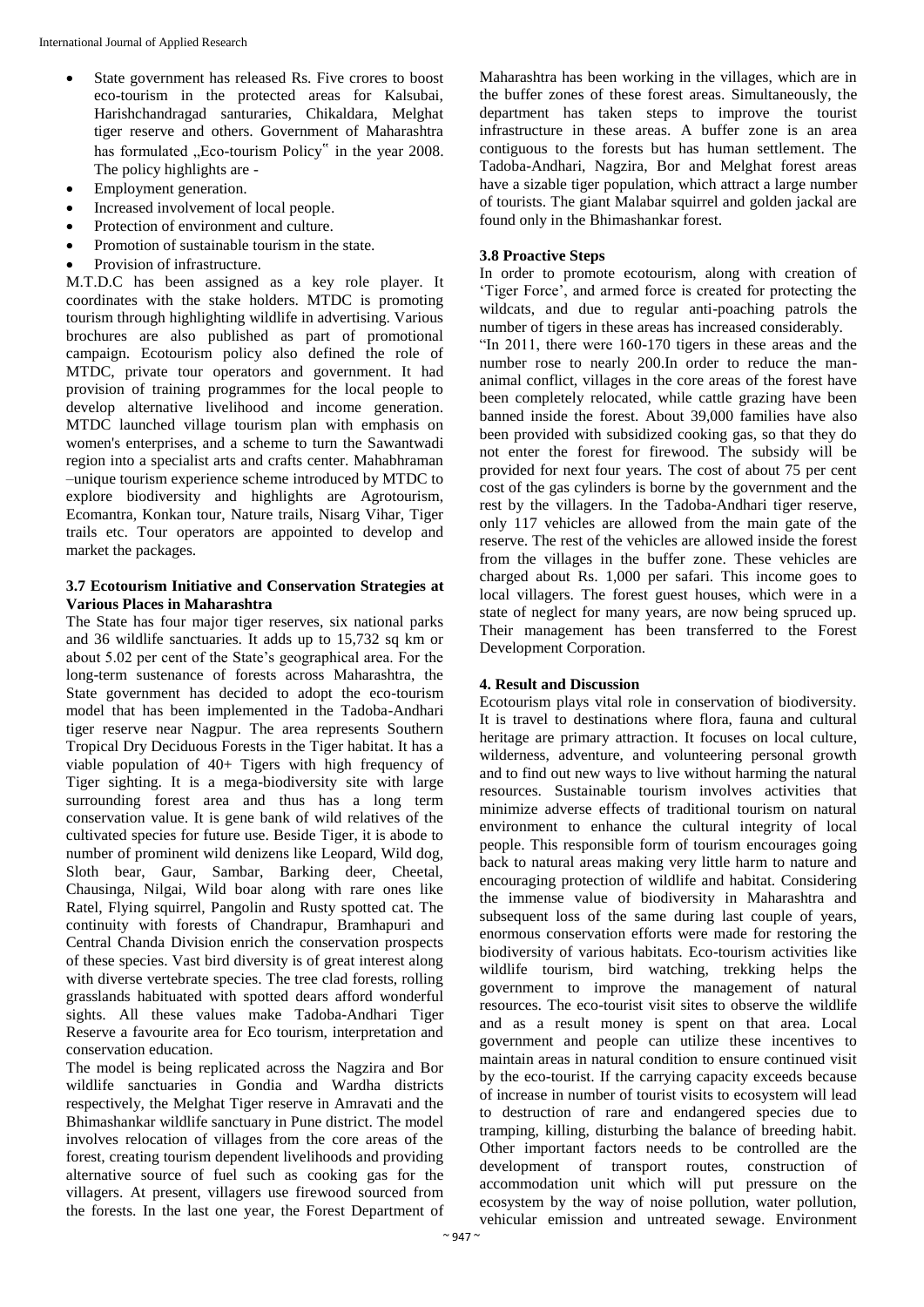- State government has released Rs. Five crores to boost eco-tourism in the protected areas for Kalsubai, Harishchandragad santuraries, Chikaldara, Melghat tiger reserve and others. Government of Maharashtra has formulated "Eco-tourism Policy" in the year 2008. The policy highlights are -
- Employment generation.
- Increased involvement of local people.
- Protection of environment and culture.
- Promotion of sustainable tourism in the state.
- Provision of infrastructure.

M.T.D.C has been assigned as a key role player. It coordinates with the stake holders. MTDC is promoting tourism through highlighting wildlife in advertising. Various brochures are also published as part of promotional campaign. Ecotourism policy also defined the role of MTDC, private tour operators and government. It had provision of training programmes for the local people to develop alternative livelihood and income generation. MTDC launched village tourism plan with emphasis on women's enterprises, and a scheme to turn the Sawantwadi region into a specialist arts and crafts center. Mahabhraman –unique tourism experience scheme introduced by MTDC to explore biodiversity and highlights are Agrotourism, Ecomantra, Konkan tour, Nature trails, Nisarg Vihar, Tiger trails etc. Tour operators are appointed to develop and market the packages.

## **3.7 Ecotourism Initiative and Conservation Strategies at Various Places in Maharashtra**

The State has four major tiger reserves, six national parks and 36 wildlife sanctuaries. It adds up to 15,732 sq km or about 5.02 per cent of the State's geographical area. For the long-term sustenance of forests across Maharashtra, the State government has decided to adopt the eco-tourism model that has been implemented in the Tadoba-Andhari tiger reserve near Nagpur. The area represents Southern Tropical Dry Deciduous Forests in the Tiger habitat. It has a viable population of 40+ Tigers with high frequency of Tiger sighting. It is a mega-biodiversity site with large surrounding forest area and thus has a long term conservation value. It is gene bank of wild relatives of the cultivated species for future use. Beside Tiger, it is abode to number of prominent wild denizens like Leopard, Wild dog, Sloth bear, Gaur, Sambar, Barking deer, Cheetal, Chausinga, Nilgai, Wild boar along with rare ones like Ratel, Flying squirrel, Pangolin and Rusty spotted cat. The continuity with forests of Chandrapur, Bramhapuri and Central Chanda Division enrich the conservation prospects of these species. Vast bird diversity is of great interest along with diverse vertebrate species. The tree clad forests, rolling grasslands habituated with spotted dears afford wonderful sights. All these values make Tadoba-Andhari Tiger Reserve a favourite area for Eco tourism, interpretation and conservation education.

The model is being replicated across the Nagzira and Bor wildlife sanctuaries in Gondia and Wardha districts respectively, the Melghat Tiger reserve in Amravati and the Bhimashankar wildlife sanctuary in Pune district. The model involves relocation of villages from the core areas of the forest, creating tourism dependent livelihoods and providing alternative source of fuel such as cooking gas for the villagers. At present, villagers use firewood sourced from the forests. In the last one year, the Forest Department of

Maharashtra has been working in the villages, which are in the buffer zones of these forest areas. Simultaneously, the department has taken steps to improve the tourist infrastructure in these areas. A buffer zone is an area contiguous to the forests but has human settlement. The Tadoba-Andhari, Nagzira, Bor and Melghat forest areas have a sizable tiger population, which attract a large number of tourists. The giant Malabar squirrel and golden jackal are found only in the Bhimashankar forest.

## **3.8 Proactive Steps**

In order to promote ecotourism, along with creation of 'Tiger Force', and armed force is created for protecting the wildcats, and due to regular anti-poaching patrols the number of tigers in these areas has increased considerably. "In 2011, there were 160-170 tigers in these areas and the number rose to nearly 200.In order to reduce the mananimal conflict, villages in the core areas of the forest have been completely relocated, while cattle grazing have been banned inside the forest. About 39,000 families have also been provided with subsidized cooking gas, so that they do not enter the forest for firewood. The subsidy will be provided for next four years. The cost of about 75 per cent cost of the gas cylinders is borne by the government and the rest by the villagers. In the Tadoba-Andhari tiger reserve, only 117 vehicles are allowed from the main gate of the reserve. The rest of the vehicles are allowed inside the forest from the villages in the buffer zone. These vehicles are charged about Rs. 1,000 per safari. This income goes to local villagers. The forest guest houses, which were in a state of neglect for many years, are now being spruced up. Their management has been transferred to the Forest Development Corporation.

## **4. Result and Discussion**

Ecotourism plays vital role in conservation of biodiversity. It is travel to destinations where flora, fauna and cultural heritage are primary attraction. It focuses on local culture, wilderness, adventure, and volunteering personal growth and to find out new ways to live without harming the natural resources. Sustainable tourism involves activities that minimize adverse effects of traditional tourism on natural environment to enhance the cultural integrity of local people. This responsible form of tourism encourages going back to natural areas making very little harm to nature and encouraging protection of wildlife and habitat. Considering the immense value of biodiversity in Maharashtra and subsequent loss of the same during last couple of years, enormous conservation efforts were made for restoring the biodiversity of various habitats. Eco-tourism activities like wildlife tourism, bird watching, trekking helps the government to improve the management of natural resources. The eco-tourist visit sites to observe the wildlife and as a result money is spent on that area. Local government and people can utilize these incentives to maintain areas in natural condition to ensure continued visit by the eco-tourist. If the carrying capacity exceeds because of increase in number of tourist visits to ecosystem will lead to destruction of rare and endangered species due to tramping, killing, disturbing the balance of breeding habit. Other important factors needs to be controlled are the development of transport routes, construction of accommodation unit which will put pressure on the ecosystem by the way of noise pollution, water pollution, vehicular emission and untreated sewage. Environment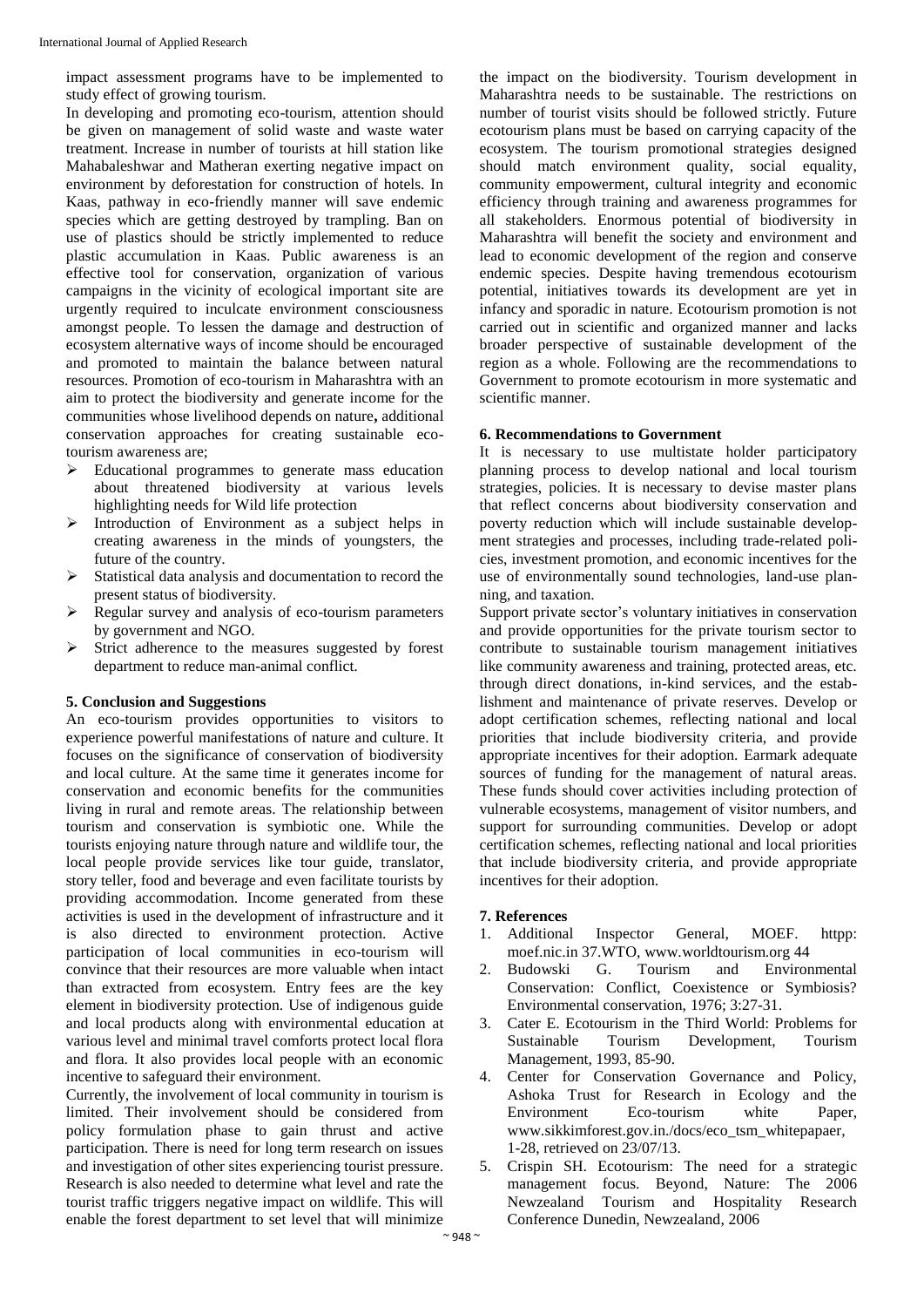impact assessment programs have to be implemented to study effect of growing tourism.

In developing and promoting eco-tourism, attention should be given on management of solid waste and waste water treatment. Increase in number of tourists at hill station like Mahabaleshwar and Matheran exerting negative impact on environment by deforestation for construction of hotels. In Kaas, pathway in eco-friendly manner will save endemic species which are getting destroyed by trampling. Ban on use of plastics should be strictly implemented to reduce plastic accumulation in Kaas. Public awareness is an effective tool for conservation, organization of various campaigns in the vicinity of ecological important site are urgently required to inculcate environment consciousness amongst people. To lessen the damage and destruction of ecosystem alternative ways of income should be encouraged and promoted to maintain the balance between natural resources. Promotion of eco-tourism in Maharashtra with an aim to protect the biodiversity and generate income for the communities whose livelihood depends on nature**,** additional conservation approaches for creating sustainable ecotourism awareness are;

- $\triangleright$  Educational programmes to generate mass education about threatened biodiversity at various levels highlighting needs for Wild life protection
- $\triangleright$  Introduction of Environment as a subject helps in creating awareness in the minds of youngsters, the future of the country.
- $\triangleright$  Statistical data analysis and documentation to record the present status of biodiversity.
- $\triangleright$  Regular survey and analysis of eco-tourism parameters by government and NGO.
- $\triangleright$  Strict adherence to the measures suggested by forest department to reduce man-animal conflict.

## **5. Conclusion and Suggestions**

An eco-tourism provides opportunities to visitors to experience powerful manifestations of nature and culture. It focuses on the significance of conservation of biodiversity and local culture. At the same time it generates income for conservation and economic benefits for the communities living in rural and remote areas. The relationship between tourism and conservation is symbiotic one. While the tourists enjoying nature through nature and wildlife tour, the local people provide services like tour guide, translator, story teller, food and beverage and even facilitate tourists by providing accommodation. Income generated from these activities is used in the development of infrastructure and it is also directed to environment protection. Active participation of local communities in eco-tourism will convince that their resources are more valuable when intact than extracted from ecosystem. Entry fees are the key element in biodiversity protection. Use of indigenous guide and local products along with environmental education at various level and minimal travel comforts protect local flora and flora. It also provides local people with an economic incentive to safeguard their environment.

Currently, the involvement of local community in tourism is limited. Their involvement should be considered from policy formulation phase to gain thrust and active participation. There is need for long term research on issues and investigation of other sites experiencing tourist pressure. Research is also needed to determine what level and rate the tourist traffic triggers negative impact on wildlife. This will enable the forest department to set level that will minimize

the impact on the biodiversity. Tourism development in Maharashtra needs to be sustainable. The restrictions on number of tourist visits should be followed strictly. Future ecotourism plans must be based on carrying capacity of the ecosystem. The tourism promotional strategies designed should match environment quality, social equality, community empowerment, cultural integrity and economic efficiency through training and awareness programmes for all stakeholders. Enormous potential of biodiversity in Maharashtra will benefit the society and environment and lead to economic development of the region and conserve endemic species. Despite having tremendous ecotourism potential, initiatives towards its development are yet in infancy and sporadic in nature. Ecotourism promotion is not carried out in scientific and organized manner and lacks broader perspective of sustainable development of the region as a whole. Following are the recommendations to Government to promote ecotourism in more systematic and scientific manner.

#### **6. Recommendations to Government**

It is necessary to use multistate holder participatory planning process to develop national and local tourism strategies, policies. It is necessary to devise master plans that reflect concerns about biodiversity conservation and poverty reduction which will include sustainable development strategies and processes, including trade-related policies, investment promotion, and economic incentives for the use of environmentally sound technologies, land-use planning, and taxation.

Support private sector's voluntary initiatives in conservation and provide opportunities for the private tourism sector to contribute to sustainable tourism management initiatives like community awareness and training, protected areas, etc. through direct donations, in-kind services, and the establishment and maintenance of private reserves. Develop or adopt certification schemes, reflecting national and local priorities that include biodiversity criteria, and provide appropriate incentives for their adoption. Earmark adequate sources of funding for the management of natural areas. These funds should cover activities including protection of vulnerable ecosystems, management of visitor numbers, and support for surrounding communities. Develop or adopt certification schemes, reflecting national and local priorities that include biodiversity criteria, and provide appropriate incentives for their adoption.

#### **7. References**

- 1. Additional Inspector General, MOEF. httpp: moef.nic.in 37.WTO, www.worldtourism.org 44
- 2. Budowski G. Tourism and Environmental Conservation: Conflict, Coexistence or Symbiosis? Environmental conservation, 1976; 3:27-31.
- 3. Cater E. Ecotourism in the Third World: Problems for Sustainable Tourism Development, Tourism Management*,* 1993, 85-90.
- 4. Center for Conservation Governance and Policy, Ashoka Trust for Research in Ecology and the Environment Eco-tourism white Paper, www.sikkimforest.gov.in./docs/eco\_tsm\_whitepapaer, 1-28, retrieved on 23/07/13.
- 5. Crispin SH. Ecotourism: The need for a strategic management focus. Beyond, Nature: The 2006 Newzealand Tourism and Hospitality Research Conference Dunedin, Newzealand, 2006